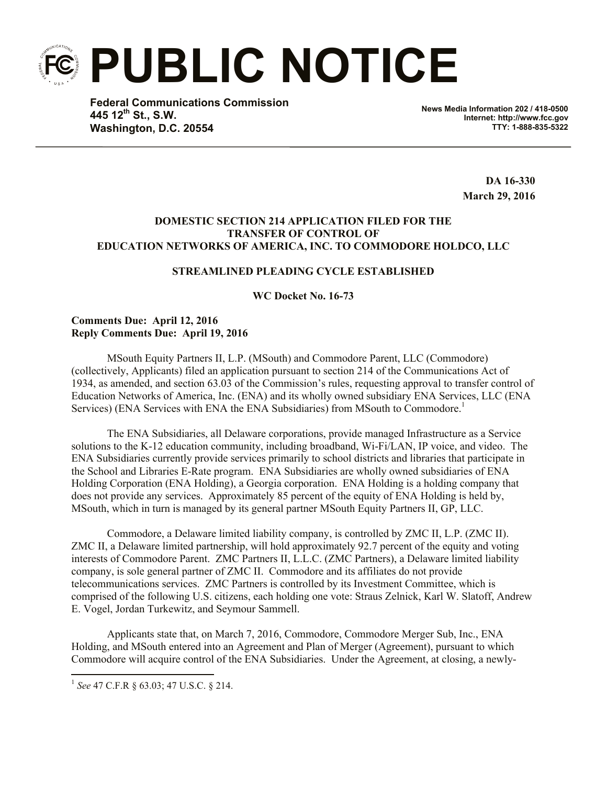**PUBLIC NOTICE**

**Federal Communications Commission 445 12th St., S.W. Washington, D.C. 20554**

**News Media Information 202 / 418-0500 Internet: http://www.fcc.gov TTY: 1-888-835-5322**

> **DA 16-330 March 29, 2016**

## **DOMESTIC SECTION 214 APPLICATION FILED FOR THE TRANSFER OF CONTROL OF EDUCATION NETWORKS OF AMERICA, INC. TO COMMODORE HOLDCO, LLC**

### **STREAMLINED PLEADING CYCLE ESTABLISHED**

**WC Docket No. 16-73**

#### **Comments Due: April 12, 2016 Reply Comments Due: April 19, 2016**

MSouth Equity Partners II, L.P. (MSouth) and Commodore Parent, LLC (Commodore) (collectively, Applicants) filed an application pursuant to section 214 of the Communications Act of 1934, as amended, and section 63.03 of the Commission's rules, requesting approval to transfer control of Education Networks of America, Inc. (ENA) and its wholly owned subsidiary ENA Services, LLC (ENA Services) (ENA Services with ENA the ENA Subsidiaries) from MSouth to Commodore.<sup>1</sup>

The ENA Subsidiaries, all Delaware corporations, provide managed Infrastructure as a Service solutions to the K-12 education community, including broadband, Wi-Fi/LAN, IP voice, and video. The ENA Subsidiaries currently provide services primarily to school districts and libraries that participate in the School and Libraries E-Rate program. ENA Subsidiaries are wholly owned subsidiaries of ENA Holding Corporation (ENA Holding), a Georgia corporation. ENA Holding is a holding company that does not provide any services. Approximately 85 percent of the equity of ENA Holding is held by, MSouth, which in turn is managed by its general partner MSouth Equity Partners II, GP, LLC.

Commodore, a Delaware limited liability company, is controlled by ZMC II, L.P. (ZMC II). ZMC II, a Delaware limited partnership, will hold approximately 92.7 percent of the equity and voting interests of Commodore Parent. ZMC Partners II, L.L.C. (ZMC Partners), a Delaware limited liability company, is sole general partner of ZMC II. Commodore and its affiliates do not provide telecommunications services. ZMC Partners is controlled by its Investment Committee, which is comprised of the following U.S. citizens, each holding one vote: Straus Zelnick, Karl W. Slatoff, Andrew E. Vogel, Jordan Turkewitz, and Seymour Sammell.

Applicants state that, on March 7, 2016, Commodore, Commodore Merger Sub, Inc., ENA Holding, and MSouth entered into an Agreement and Plan of Merger (Agreement), pursuant to which Commodore will acquire control of the ENA Subsidiaries. Under the Agreement, at closing, a newly-

l

<sup>1</sup> *See* 47 C.F.R § 63.03; 47 U.S.C. § 214.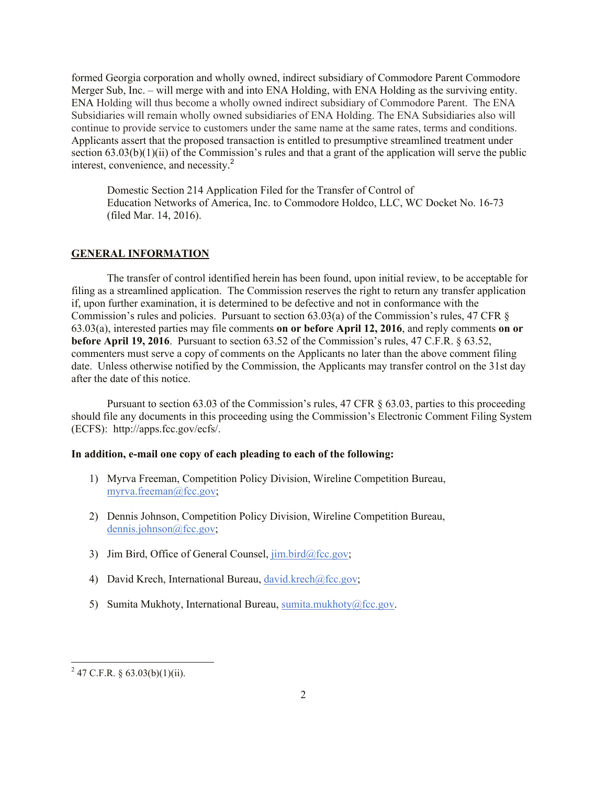formed Georgia corporation and wholly owned, indirect subsidiary of Commodore Parent Commodore Merger Sub, Inc. – will merge with and into ENA Holding, with ENA Holding as the surviving entity. ENA Holding will thus become a wholly owned indirect subsidiary of Commodore Parent. The ENA Subsidiaries will remain wholly owned subsidiaries of ENA Holding. The ENA Subsidiaries also will continue to provide service to customers under the same name at the same rates, terms and conditions. Applicants assert that the proposed transaction is entitled to presumptive streamlined treatment under section 63.03(b)(1)(ii) of the Commission's rules and that a grant of the application will serve the public interest, convenience, and necessity. 2

Domestic Section 214 Application Filed for the Transfer of Control of Education Networks of America, Inc. to Commodore Holdco, LLC, WC Docket No. 16-73 (filed Mar. 14, 2016).

# **GENERAL INFORMATION**

The transfer of control identified herein has been found, upon initial review, to be acceptable for filing as a streamlined application. The Commission reserves the right to return any transfer application if, upon further examination, it is determined to be defective and not in conformance with the Commission's rules and policies. Pursuant to section 63.03(a) of the Commission's rules, 47 CFR § 63.03(a), interested parties may file comments **on or before April 12, 2016**, and reply comments **on or before April 19, 2016**. Pursuant to section 63.52 of the Commission's rules, 47 C.F.R. § 63.52, commenters must serve a copy of comments on the Applicants no later than the above comment filing date. Unless otherwise notified by the Commission, the Applicants may transfer control on the 31st day after the date of this notice.

Pursuant to section 63.03 of the Commission's rules, 47 CFR § 63.03, parties to this proceeding should file any documents in this proceeding using the Commission's Electronic Comment Filing System (ECFS): http://apps.fcc.gov/ecfs/.

#### **In addition, e-mail one copy of each pleading to each of the following:**

- 1) Myrva Freeman, Competition Policy Division, Wireline Competition Bureau, myrva.freeman@fcc.gov;
- 2) Dennis Johnson, Competition Policy Division, Wireline Competition Bureau, dennis.johnson@fcc.gov;
- 3) Jim Bird, Office of General Counsel,  $\lim_{\Delta x \to 0}$  bird@fcc.gov;
- 4) David Krech, International Bureau, david.krech@fcc.gov;
- 5) Sumita Mukhoty, International Bureau, sumita.mukhoty@fcc.gov.

l

<sup>&</sup>lt;sup>2</sup> 47 C.F.R. § 63.03(b)(1)(ii).